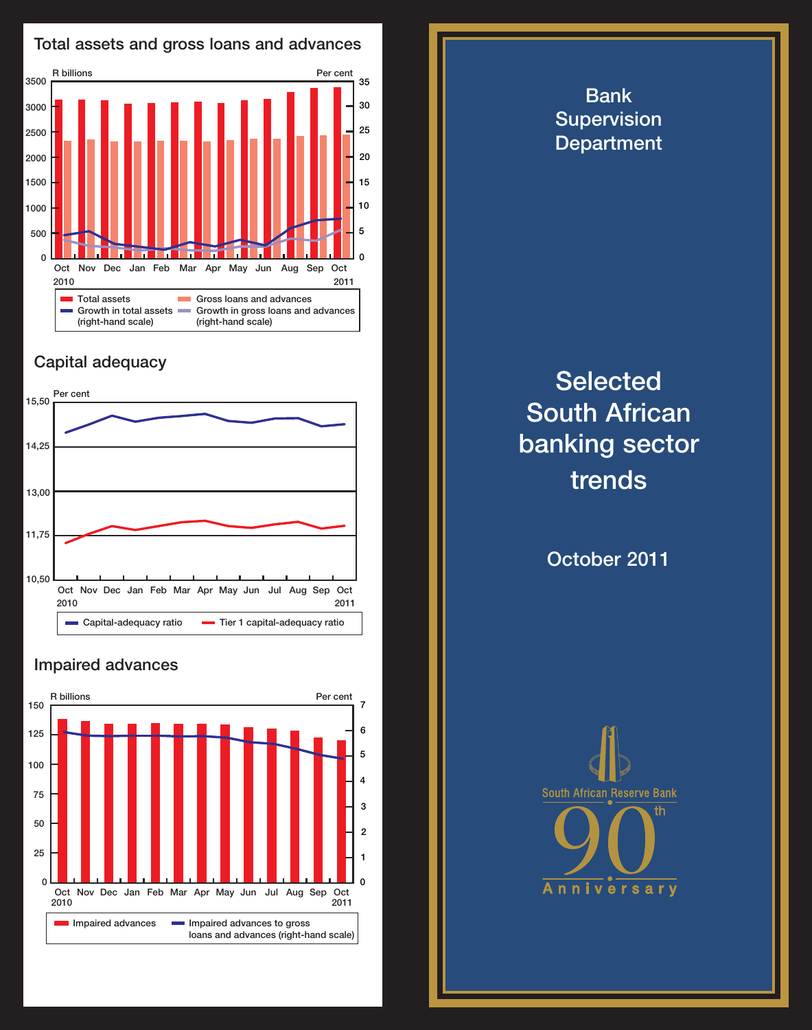

## Capital adequacy



## Impaired advances



**Selected** South African banking sector trends

Bank **Supervision Department** 

October 2011